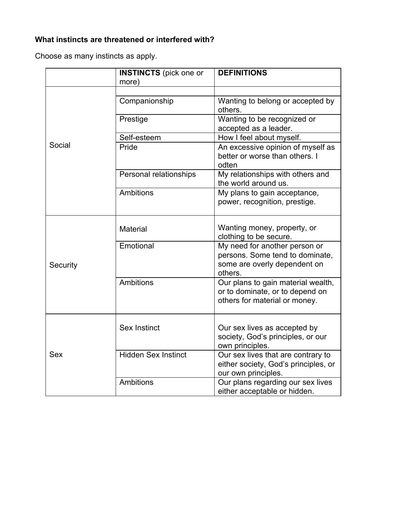## **What instincts are threatened or interfered with?**

Choose as many instincts as apply.

|            | <b>INSTINCTS</b> (pick one or | <b>DEFINITIONS</b>                                                                                          |
|------------|-------------------------------|-------------------------------------------------------------------------------------------------------------|
|            | more)                         |                                                                                                             |
| Social     | Companionship                 | Wanting to belong or accepted by<br>others.                                                                 |
|            | Prestige                      | Wanting to be recognized or<br>accepted as a leader.                                                        |
|            | Self-esteem                   | How I feel about myself.                                                                                    |
|            | Pride                         | An excessive opinion of myself as<br>better or worse than others. I<br>odten                                |
|            | Personal relationships        | My relationships with others and<br>the world around us.                                                    |
|            | <b>Ambitions</b>              | My plans to gain acceptance,<br>power, recognition, prestige.                                               |
| Security   | <b>Material</b>               | Wanting money, property, or<br>clothing to be secure.                                                       |
|            | Emotional                     | My need for another person or<br>persons. Some tend to dominate,<br>some are overly dependent on<br>others. |
|            | <b>Ambitions</b>              | Our plans to gain material wealth,<br>or to dominate, or to depend on<br>others for material or money.      |
| <b>Sex</b> | <b>Sex Instinct</b>           | Our sex lives as accepted by<br>society, God's principles, or our<br>own principles.                        |
|            | <b>Hidden Sex Instinct</b>    | Our sex lives that are contrary to<br>either society, God's principles, or<br>our own principles.           |
|            | <b>Ambitions</b>              | Our plans regarding our sex lives<br>either acceptable or hidden.                                           |